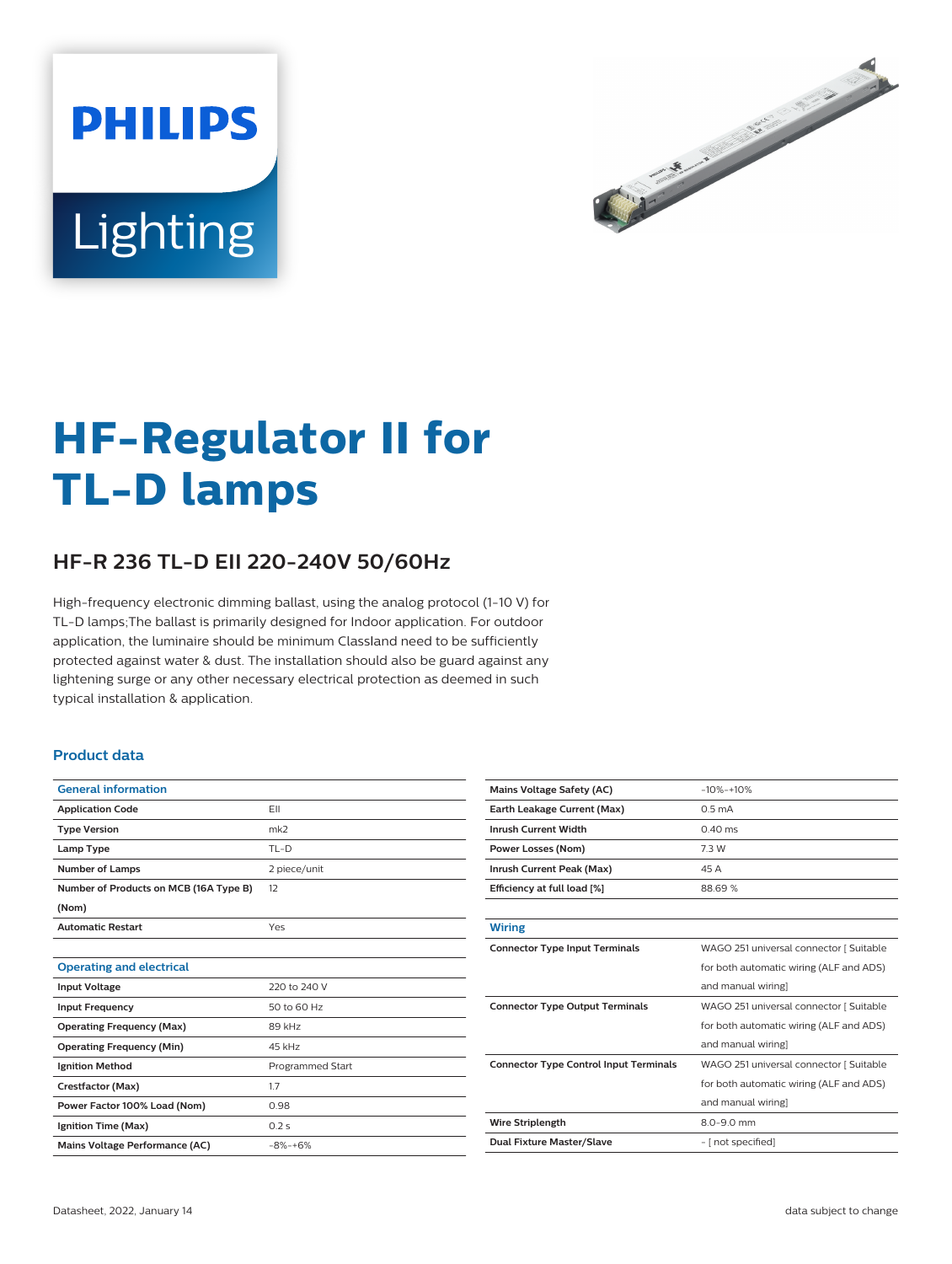



# **HF-Regulator II for TL-D lamps**

## **HF-R 236 TL-D EII 220-240V 50/60Hz**

High-frequency electronic dimming ballast, using the analog protocol (1-10 V) for TL-D lamps;The ballast is primarily designed for Indoor application. For outdoor application, the luminaire should be minimum Classland need to be sufficiently protected against water & dust. The installation should also be guard against any lightening surge or any other necessary electrical protection as deemed in such typical installation & application.

#### **Product data**

| <b>General information</b>             |                  |  |  |
|----------------------------------------|------------------|--|--|
| <b>Application Code</b>                | EII              |  |  |
| <b>Type Version</b>                    | mk <sub>2</sub>  |  |  |
| Lamp Type                              | $TL-D$           |  |  |
| <b>Number of Lamps</b>                 | 2 piece/unit     |  |  |
| Number of Products on MCB (16A Type B) | 12               |  |  |
| (Nom)                                  |                  |  |  |
| <b>Automatic Restart</b>               | Yes              |  |  |
|                                        |                  |  |  |
| <b>Operating and electrical</b>        |                  |  |  |
| <b>Input Voltage</b>                   | 220 to 240 V     |  |  |
| <b>Input Frequency</b>                 | 50 to 60 Hz      |  |  |
| <b>Operating Frequency (Max)</b>       | 89 kHz           |  |  |
| <b>Operating Frequency (Min)</b>       | 45 kHz           |  |  |
| <b>Ignition Method</b>                 | Programmed Start |  |  |
| Crestfactor (Max)                      | 1.7              |  |  |
| Power Factor 100% Load (Nom)           | 0.98             |  |  |
| Ignition Time (Max)                    | 0.2s             |  |  |
| Mains Voltage Performance (AC)         | $-8% - +6%$      |  |  |
|                                        |                  |  |  |

| <b>Mains Voltage Safety (AC)</b>              | $-10% -10%$                             |  |  |  |
|-----------------------------------------------|-----------------------------------------|--|--|--|
| Earth Leakage Current (Max)                   | 0.5 <sub>m</sub> A                      |  |  |  |
| <b>Inrush Current Width</b>                   | $0.40$ ms                               |  |  |  |
| <b>Power Losses (Nom)</b>                     | 7.3 W                                   |  |  |  |
| Inrush Current Peak (Max)                     | 45 A                                    |  |  |  |
| Efficiency at full load [%]                   | 88.69%                                  |  |  |  |
|                                               |                                         |  |  |  |
| <b>Wiring</b>                                 |                                         |  |  |  |
| <b>Connector Type Input Terminals</b>         | WAGO 251 universal connector [ Suitable |  |  |  |
|                                               | for both automatic wiring (ALF and ADS) |  |  |  |
|                                               | and manual wiring]                      |  |  |  |
| <b>Connector Type Output Terminals</b>        | WAGO 251 universal connector [ Suitable |  |  |  |
|                                               | for both automatic wiring (ALF and ADS) |  |  |  |
|                                               | and manual wiring]                      |  |  |  |
| <b>Connector Type Control Input Terminals</b> | WAGO 251 universal connector [ Suitable |  |  |  |
|                                               | for both automatic wiring (ALF and ADS) |  |  |  |
|                                               | and manual wiring]                      |  |  |  |
| <b>Wire Striplength</b>                       | 8.0-9.0 mm                              |  |  |  |
| <b>Dual Fixture Master/Slave</b>              | - [ not specified]                      |  |  |  |
|                                               |                                         |  |  |  |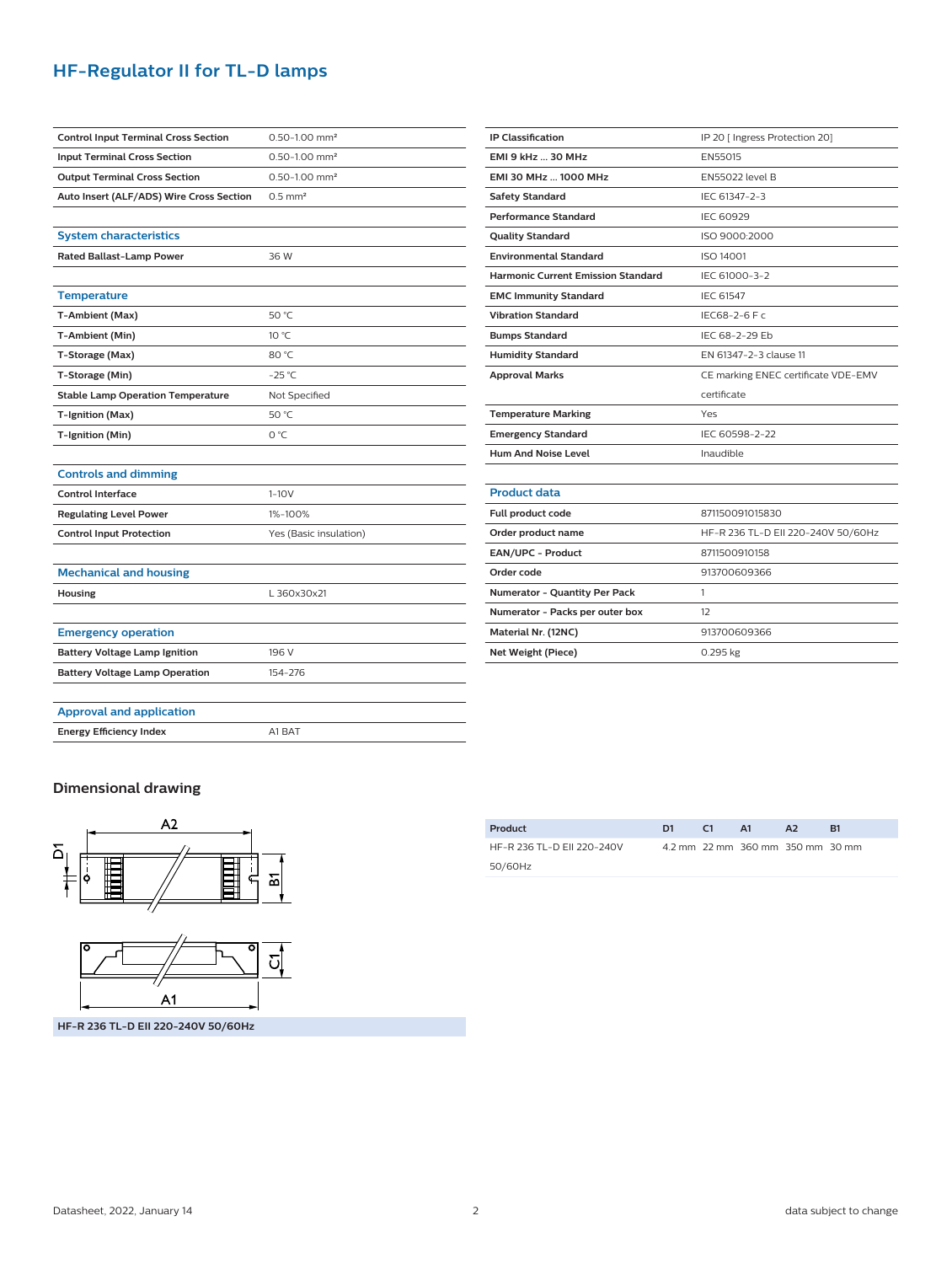## **HF-Regulator II for TL-D lamps**

| <b>Control Input Terminal Cross Section</b> | $0.50 - 1.00$ mm <sup>2</sup> |  |  |
|---------------------------------------------|-------------------------------|--|--|
| <b>Input Terminal Cross Section</b>         | $0.50 - 1.00$ mm <sup>2</sup> |  |  |
| <b>Output Terminal Cross Section</b>        | $0.50 - 1.00$ mm <sup>2</sup> |  |  |
| Auto Insert (ALF/ADS) Wire Cross Section    | $0.5$ mm <sup>2</sup>         |  |  |
|                                             |                               |  |  |
| <b>System characteristics</b>               |                               |  |  |
| Rated Ballast-Lamp Power                    | 36 W                          |  |  |
|                                             |                               |  |  |
| <b>Temperature</b>                          |                               |  |  |
| T-Ambient (Max)                             | 50 °C                         |  |  |
| T-Ambient (Min)                             | 10 °C                         |  |  |
| T-Storage (Max)                             | 80 °C                         |  |  |
| T-Storage (Min)                             | $-25$ °C                      |  |  |
| <b>Stable Lamp Operation Temperature</b>    | Not Specified                 |  |  |
| T-Ignition (Max)                            | 50 °C                         |  |  |
| T-Ignition (Min)                            | $O^{\circ}C$                  |  |  |
|                                             |                               |  |  |
| <b>Controls and dimming</b>                 |                               |  |  |
| <b>Control Interface</b>                    | $1-10V$                       |  |  |
| <b>Regulating Level Power</b>               | 1%-100%                       |  |  |
| <b>Control Input Protection</b>             | Yes (Basic insulation)        |  |  |
|                                             |                               |  |  |
| <b>Mechanical and housing</b>               |                               |  |  |
| <b>Housing</b>                              | L 360x30x21                   |  |  |
|                                             |                               |  |  |
| <b>Emergency operation</b>                  |                               |  |  |
| <b>Battery Voltage Lamp Ignition</b>        | 196 V                         |  |  |
| <b>Battery Voltage Lamp Operation</b>       | 154-276                       |  |  |
|                                             |                               |  |  |
| <b>Approval and application</b>             |                               |  |  |
| <b>Energy Efficiency Index</b>              | A1 BAT                        |  |  |

| <b>IP Classification</b>                  | IP 20 [ Ingress Protection 20]      |  |  |  |  |
|-------------------------------------------|-------------------------------------|--|--|--|--|
| <b>EMI 9 kHz  30 MHz</b>                  | <b>EN55015</b>                      |  |  |  |  |
| EMI 30 MHz  1000 MHz                      | <b>EN55022 level B</b>              |  |  |  |  |
| <b>Safety Standard</b>                    | IEC 61347-2-3                       |  |  |  |  |
| <b>Performance Standard</b>               | IEC 60929                           |  |  |  |  |
| <b>Quality Standard</b>                   | ISO 9000:2000                       |  |  |  |  |
| <b>Environmental Standard</b>             | ISO 14001                           |  |  |  |  |
| <b>Harmonic Current Emission Standard</b> | IFC 61000-3-2                       |  |  |  |  |
| <b>EMC Immunity Standard</b>              | <b>IEC 61547</b>                    |  |  |  |  |
| <b>Vibration Standard</b>                 | IEC68-2-6 F c                       |  |  |  |  |
| <b>Bumps Standard</b>                     | IFC 68-2-29 Fb                      |  |  |  |  |
| <b>Humidity Standard</b>                  | FN 61347-2-3 clause 11              |  |  |  |  |
| <b>Approval Marks</b>                     | CE marking ENEC certificate VDE-EMV |  |  |  |  |
|                                           | certificate                         |  |  |  |  |
| <b>Temperature Marking</b>                | Yes                                 |  |  |  |  |
| <b>Emergency Standard</b>                 | IFC 60598-2-22                      |  |  |  |  |
| <b>Hum And Noise Level</b>                | Inaudible                           |  |  |  |  |
|                                           |                                     |  |  |  |  |
| <b>Product data</b>                       |                                     |  |  |  |  |
| Full product code                         | 871150091015830                     |  |  |  |  |
| Order product name                        | HF-R 236 TL-D EII 220-240V 50/60Hz  |  |  |  |  |
| EAN/UPC - Product                         | 8711500910158                       |  |  |  |  |
| Order code                                | 913700609366                        |  |  |  |  |
| Numerator - Quantity Per Pack             | 1                                   |  |  |  |  |
| Numerator - Packs per outer box           | 12                                  |  |  |  |  |
| Material Nr. (12NC)                       | 913700609366                        |  |  |  |  |
| Net Weight (Piece)                        | 0.295 kg                            |  |  |  |  |

### **Dimensional drawing**



| Product                    | D1. | C <sub>1</sub> | - A1                             | A <sub>2</sub> | R1 |
|----------------------------|-----|----------------|----------------------------------|----------------|----|
| HF-R 236 TL-D FII 220-240V |     |                | 4.2 mm 22 mm 360 mm 350 mm 30 mm |                |    |
| 50/60Hz                    |     |                |                                  |                |    |